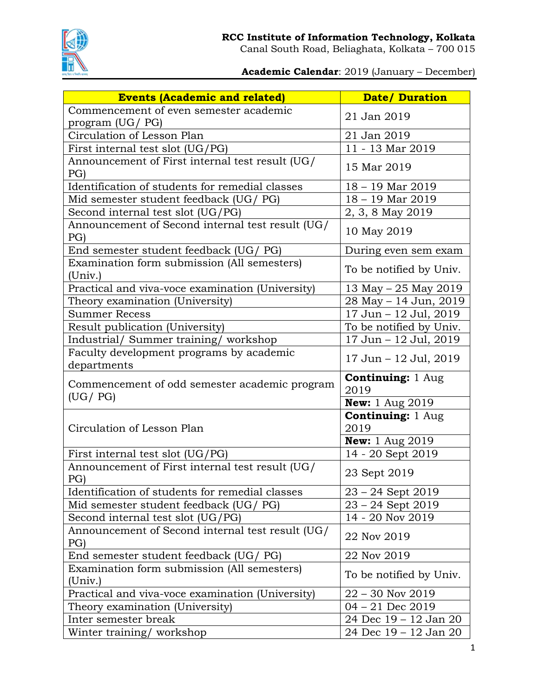

**Academic Calendar**: 2019 (January – December)

| <b>Events (Academic and related)</b>                    | <b>Date/Duration</b>              |
|---------------------------------------------------------|-----------------------------------|
| Commencement of even semester academic                  |                                   |
| program (UG/ PG)                                        | 21 Jan 2019                       |
| Circulation of Lesson Plan                              | 21 Jan 2019                       |
| First internal test slot (UG/PG)                        | 11 - 13 Mar 2019                  |
| Announcement of First internal test result (UG/<br>PG)  | 15 Mar 2019                       |
| Identification of students for remedial classes         | 18 - 19 Mar 2019                  |
| Mid semester student feedback (UG/ PG)                  | $18 - 19$ Mar 2019                |
| Second internal test slot (UG/PG)                       | 2, 3, 8 May 2019                  |
| Announcement of Second internal test result (UG/        |                                   |
| PG)                                                     | 10 May 2019                       |
| End semester student feedback (UG/ PG)                  | During even sem exam              |
| Examination form submission (All semesters)<br>(Univ.)  | To be notified by Univ.           |
| Practical and viva-voce examination (University)        | 13 May – 25 May 2019              |
| Theory examination (University)                         | 28 May - 14 Jun, 2019             |
| <b>Summer Recess</b>                                    | 17 Jun - 12 Jul, 2019             |
| Result publication (University)                         | To be notified by Univ.           |
| Industrial/ Summer training/ workshop                   | 17 Jun - 12 Jul, 2019             |
| Faculty development programs by academic<br>departments | 17 Jun - 12 Jul, 2019             |
|                                                         | <b>Continuing: 1 Aug</b>          |
| Commencement of odd semester academic program           | 2019                              |
| (UG / PG)                                               | <b>New:</b> 1 Aug 2019            |
| Circulation of Lesson Plan                              | <b>Continuing: 1 Aug</b><br>2019  |
|                                                         | <b>New:</b> $1 \text{ Aug } 2019$ |
| First internal test slot (UG/PG)                        | 14 - 20 Sept 2019                 |
| Announcement of First internal test result (UG/<br>PG)  | 23 Sept 2019                      |
| Identification of students for remedial classes         | 23 - 24 Sept 2019                 |
| Mid semester student feedback (UG/ PG)                  | $23 - 24$ Sept 2019               |
| Second internal test slot (UG/PG)                       | 14 - 20 Nov 2019                  |
| Announcement of Second internal test result (UG/<br>PG) | 22 Nov 2019                       |
| End semester student feedback (UG/ PG)                  | 22 Nov 2019                       |
| Examination form submission (All semesters)             | To be notified by Univ.           |
| (Univ.)                                                 |                                   |
| Practical and viva-voce examination (University)        | $22 - 30$ Nov $2019$              |
| Theory examination (University)                         | $04 - 21$ Dec 2019                |
| Inter semester break                                    | 24 Dec 19 – 12 Jan 20             |
| Winter training/workshop                                | 24 Dec 19 – 12 Jan 20             |